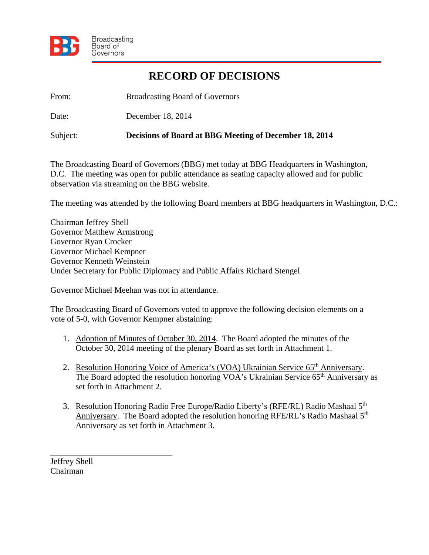

## **RECORD OF DECISIONS**

From: Broadcasting Board of Governors

Date: December 18, 2014

Subject: **Decisions of Board at BBG Meeting of December 18, 2014** 

The Broadcasting Board of Governors (BBG) met today at BBG Headquarters in Washington, D.C. The meeting was open for public attendance as seating capacity allowed and for public observation via streaming on the BBG website.

The meeting was attended by the following Board members at BBG headquarters in Washington, D.C.:

Chairman Jeffrey Shell Governor Matthew Armstrong Governor Ryan Crocker Governor Michael Kempner Governor Kenneth Weinstein Under Secretary for Public Diplomacy and Public Affairs Richard Stengel

Governor Michael Meehan was not in attendance.

The Broadcasting Board of Governors voted to approve the following decision elements on a vote of 5-0, with Governor Kempner abstaining:

- 1. Adoption of Minutes of October 30, 2014. The Board adopted the minutes of the October 30, 2014 meeting of the plenary Board as set forth in Attachment 1.
- 2. Resolution Honoring Voice of America's (VOA) Ukrainian Service 65<sup>th</sup> Anniversary. The Board adopted the resolution honoring VOA's Ukrainian Service 65<sup>th</sup> Anniversary as set forth in Attachment 2.
- 3. Resolution Honoring Radio Free Europe/Radio Liberty's (RFE/RL) Radio Mashaal 5<sup>th</sup> Anniversary. The Board adopted the resolution honoring RFE/RL's Radio Mashaal 5<sup>th</sup> Anniversary as set forth in Attachment 3.

Jeffrey Shell Chairman

\_\_\_\_\_\_\_\_\_\_\_\_\_\_\_\_\_\_\_\_\_\_\_\_\_\_\_\_\_